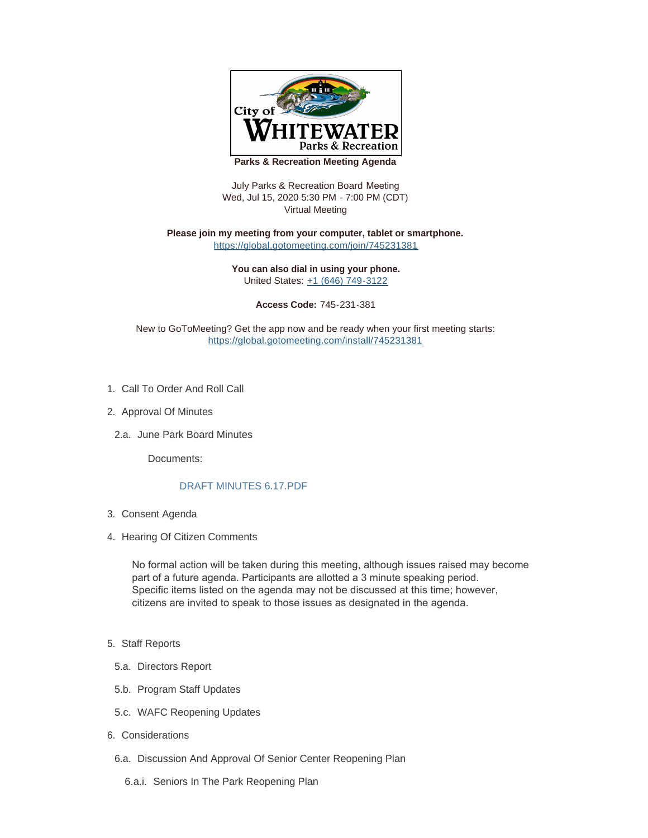

**Parks & Recreation Meeting Agenda**

July Parks & Recreation Board Meeting Wed, Jul 15, 2020 5:30 PM - 7:00 PM (CDT) Virtual Meeting

**Please join my meeting from your computer, tablet or smartphone.**  <https://global.gotomeeting.com/join/745231381>

> **You can also dial in using your phone.** United States: [+1 \(646\) 749-3122](tel:+16467493122,,745231381#)

> > **Access Code:** 745-231-381

New to GoToMeeting? Get the app now and be ready when your first meeting starts: <https://global.gotomeeting.com/install/745231381>

- 1. Call To Order And Roll Call
- 2. Approval Of Minutes
- 2.a. June Park Board Minutes

Documents:

## [DRAFT MINUTES 6.17.PDF](https://www.whitewater-wi.gov/AgendaCenter/ViewFile/Item/2770?fileID=4464)

- Consent Agenda 3.
- 4. Hearing Of Citizen Comments

No formal action will be taken during this meeting, although issues raised may become part of a future agenda. Participants are allotted a 3 minute speaking period. Specific items listed on the agenda may not be discussed at this time; however, citizens are invited to speak to those issues as designated in the agenda.

- 5. Staff Reports
- 5.a. Directors Report
- 5.b. Program Staff Updates
- 5.c. WAFC Reopening Updates
- 6. Considerations
- 6.a. Discussion And Approval Of Senior Center Reopening Plan
	- 6.a.i. Seniors In The Park Reopening Plan